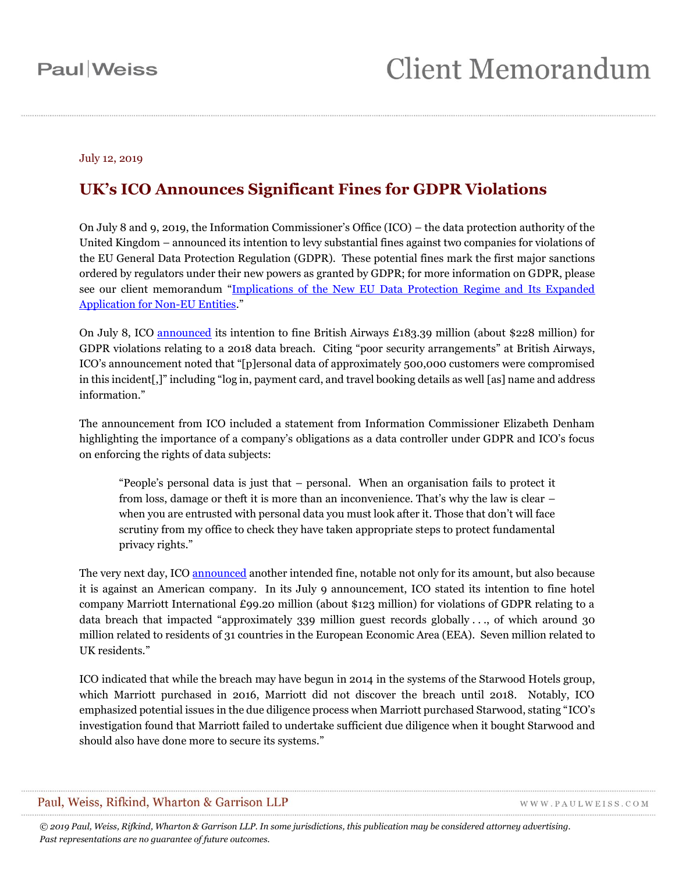#### July 12, 2019

### **UK's ICO Announces Significant Fines for GDPR Violations**

On July 8 and 9, 2019, the Information Commissioner's Office (ICO) – the data protection authority of the United Kingdom – announced its intention to levy substantial fines against two companies for violations of the EU General Data Protection Regulation (GDPR). These potential fines mark the first major sanctions ordered by regulators under their new powers as granted by GDPR; for more information on GDPR, please see our client memorandum "[Implications of the New EU Data Protection Regime and Its Expanded](https://www.paulweiss.com/practices/transactional/capital-markets-securities/publications/implications-of-the-new-eu-data-protection-regime-and-its-expanded-application-for-non-eu-entities?id=26324)  [Application for Non-EU Entities](https://www.paulweiss.com/practices/transactional/capital-markets-securities/publications/implications-of-the-new-eu-data-protection-regime-and-its-expanded-application-for-non-eu-entities?id=26324)."

On July 8, ICO [announced](https://ico.org.uk/about-the-ico/news-and-events/news-and-blogs/2019/07/statement-ico-announces-intention-to-fine-british-airways/) its intention to fine British Airways £183.39 million (about \$228 million) for GDPR violations relating to a 2018 data breach. Citing "poor security arrangements" at British Airways, ICO's announcement noted that "[p]ersonal data of approximately 500,000 customers were compromised in this incident[,]" including "log in, payment card, and travel booking details as well [as] name and address information."

The announcement from ICO included a statement from Information Commissioner Elizabeth Denham highlighting the importance of a company's obligations as a data controller under GDPR and ICO's focus on enforcing the rights of data subjects:

"People's personal data is just that – personal. When an organisation fails to protect it from loss, damage or theft it is more than an inconvenience. That's why the law is clear – when you are entrusted with personal data you must look after it. Those that don't will face scrutiny from my office to check they have taken appropriate steps to protect fundamental privacy rights."

The very next day, IC[O announced](https://ico.org.uk/about-the-ico/news-and-events/news-and-blogs/2019/07/statement-intention-to-fine-marriott-international-inc-more-than-99-million-under-gdpr-for-data-breach/) another intended fine, notable not only for its amount, but also because it is against an American company. In its July 9 announcement, ICO stated its intention to fine hotel company Marriott International £99.20 million (about \$123 million) for violations of GDPR relating to a data breach that impacted "approximately 339 million guest records globally . . ., of which around 30 million related to residents of 31 countries in the European Economic Area (EEA). Seven million related to UK residents."

ICO indicated that while the breach may have begun in 2014 in the systems of the Starwood Hotels group, which Marriott purchased in 2016, Marriott did not discover the breach until 2018. Notably, ICO emphasized potential issues in the due diligence process when Marriott purchased Starwood, stating "ICO's investigation found that Marriott failed to undertake sufficient due diligence when it bought Starwood and should also have done more to secure its systems."

#### Paul, Weiss, Rifkind, Wharton & Garrison LLP

WWW.PAULWEISS.COM

*© 2019 Paul, Weiss, Rifkind, Wharton & Garrison LLP. In some jurisdictions, this publication may be considered attorney advertising. Past representations are no guarantee of future outcomes.*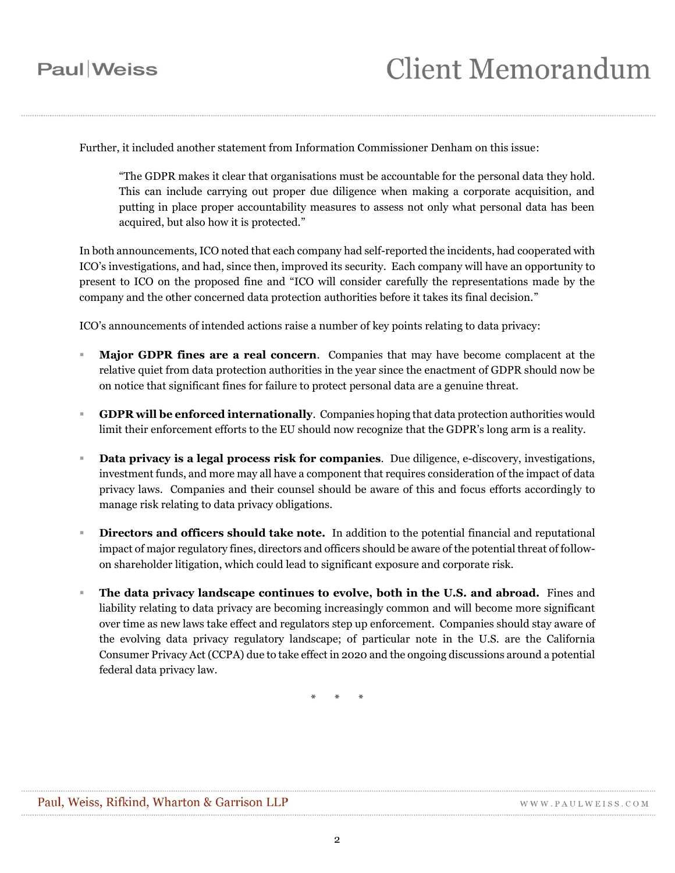## **Paul** Weiss

Further, it included another statement from Information Commissioner Denham on this issue:

"The GDPR makes it clear that organisations must be accountable for the personal data they hold. This can include carrying out proper due diligence when making a corporate acquisition, and putting in place proper accountability measures to assess not only what personal data has been acquired, but also how it is protected."

In both announcements, ICO noted that each company had self-reported the incidents, had cooperated with ICO's investigations, and had, since then, improved its security. Each company will have an opportunity to present to ICO on the proposed fine and "ICO will consider carefully the representations made by the company and the other concerned data protection authorities before it takes its final decision."

ICO's announcements of intended actions raise a number of key points relating to data privacy:

- **Major GDPR fines are a real concern**. Companies that may have become complacent at the relative quiet from data protection authorities in the year since the enactment of GDPR should now be on notice that significant fines for failure to protect personal data are a genuine threat.
- **GDPR will be enforced internationally**. Companies hoping that data protection authorities would limit their enforcement efforts to the EU should now recognize that the GDPR's long arm is a reality.
- **Data privacy is a legal process risk for companies**. Due diligence, e-discovery, investigations, investment funds, and more may all have a component that requires consideration of the impact of data privacy laws. Companies and their counsel should be aware of this and focus efforts accordingly to manage risk relating to data privacy obligations.
- **Directors and officers should take note.** In addition to the potential financial and reputational impact of major regulatory fines, directors and officers should be aware of the potential threat of followon shareholder litigation, which could lead to significant exposure and corporate risk.
- **The data privacy landscape continues to evolve, both in the U.S. and abroad.** Fines and liability relating to data privacy are becoming increasingly common and will become more significant over time as new laws take effect and regulators step up enforcement. Companies should stay aware of the evolving data privacy regulatory landscape; of particular note in the U.S. are the California Consumer Privacy Act (CCPA) due to take effect in 2020 and the ongoing discussions around a potential federal data privacy law.

\* \* \*